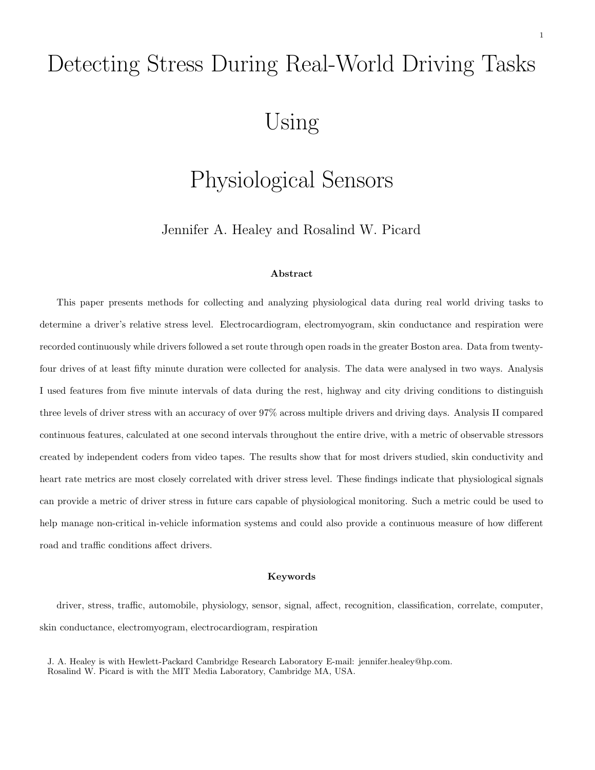# Detecting Stress During Real-World Driving Tasks Using

# Physiological Sensors

Jennifer A. Healey and Rosalind W. Picard

#### Abstract

This paper presents methods for collecting and analyzing physiological data during real world driving tasks to determine a driver's relative stress level. Electrocardiogram, electromyogram, skin conductance and respiration were recorded continuously while drivers followed a set route through open roads in the greater Boston area. Data from twentyfour drives of at least fifty minute duration were collected for analysis. The data were analysed in two ways. Analysis I used features from five minute intervals of data during the rest, highway and city driving conditions to distinguish three levels of driver stress with an accuracy of over 97% across multiple drivers and driving days. Analysis II compared continuous features, calculated at one second intervals throughout the entire drive, with a metric of observable stressors created by independent coders from video tapes. The results show that for most drivers studied, skin conductivity and heart rate metrics are most closely correlated with driver stress level. These findings indicate that physiological signals can provide a metric of driver stress in future cars capable of physiological monitoring. Such a metric could be used to help manage non-critical in-vehicle information systems and could also provide a continuous measure of how different road and traffic conditions affect drivers.

#### Keywords

driver, stress, traffic, automobile, physiology, sensor, signal, affect, recognition, classification, correlate, computer, skin conductance, electromyogram, electrocardiogram, respiration

J. A. Healey is with Hewlett-Packard Cambridge Research Laboratory E-mail: jennifer.healey@hp.com. Rosalind W. Picard is with the MIT Media Laboratory, Cambridge MA, USA.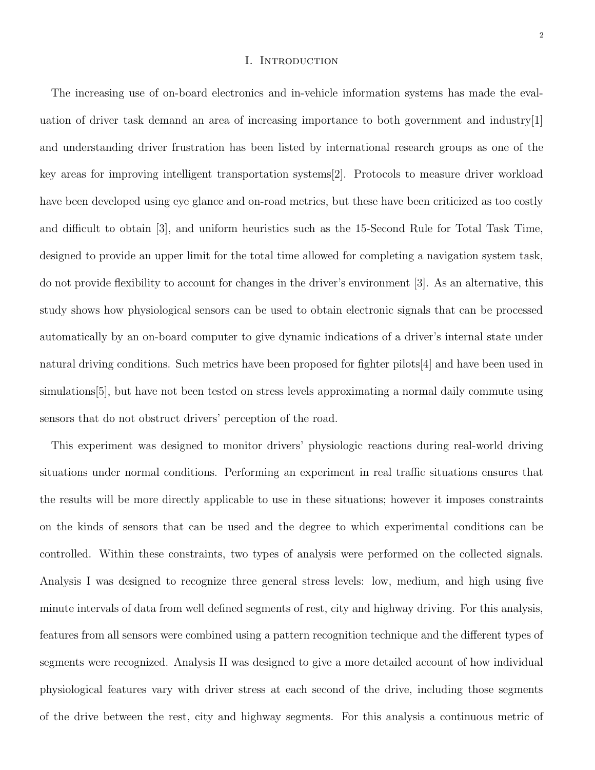#### I. Introduction

The increasing use of on-board electronics and in-vehicle information systems has made the evaluation of driver task demand an area of increasing importance to both government and industry[1] and understanding driver frustration has been listed by international research groups as one of the key areas for improving intelligent transportation systems[2]. Protocols to measure driver workload have been developed using eye glance and on-road metrics, but these have been criticized as too costly and difficult to obtain [3], and uniform heuristics such as the 15-Second Rule for Total Task Time, designed to provide an upper limit for the total time allowed for completing a navigation system task, do not provide flexibility to account for changes in the driver's environment [3]. As an alternative, this study shows how physiological sensors can be used to obtain electronic signals that can be processed automatically by an on-board computer to give dynamic indications of a driver's internal state under natural driving conditions. Such metrics have been proposed for fighter pilots[4] and have been used in simulations[5], but have not been tested on stress levels approximating a normal daily commute using sensors that do not obstruct drivers' perception of the road.

This experiment was designed to monitor drivers' physiologic reactions during real-world driving situations under normal conditions. Performing an experiment in real traffic situations ensures that the results will be more directly applicable to use in these situations; however it imposes constraints on the kinds of sensors that can be used and the degree to which experimental conditions can be controlled. Within these constraints, two types of analysis were performed on the collected signals. Analysis I was designed to recognize three general stress levels: low, medium, and high using five minute intervals of data from well defined segments of rest, city and highway driving. For this analysis, features from all sensors were combined using a pattern recognition technique and the different types of segments were recognized. Analysis II was designed to give a more detailed account of how individual physiological features vary with driver stress at each second of the drive, including those segments of the drive between the rest, city and highway segments. For this analysis a continuous metric of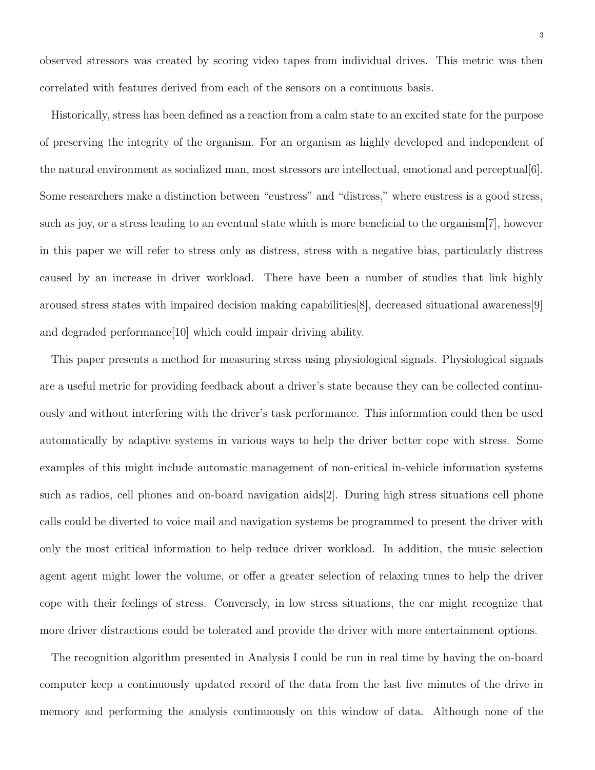observed stressors was created by scoring video tapes from individual drives. This metric was then correlated with features derived from each of the sensors on a continuous basis.

Historically, stress has been defined as a reaction from a calm state to an excited state for the purpose of preserving the integrity of the organism. For an organism as highly developed and independent of the natural environment as socialized man, most stressors are intellectual, emotional and perceptual[6]. Some researchers make a distinction between "eustress" and "distress," where eustress is a good stress, such as joy, or a stress leading to an eventual state which is more beneficial to the organism[7], however in this paper we will refer to stress only as distress, stress with a negative bias, particularly distress caused by an increase in driver workload. There have been a number of studies that link highly aroused stress states with impaired decision making capabilities[8], decreased situational awareness[9] and degraded performance[10] which could impair driving ability.

This paper presents a method for measuring stress using physiological signals. Physiological signals are a useful metric for providing feedback about a driver's state because they can be collected continuously and without interfering with the driver's task performance. This information could then be used automatically by adaptive systems in various ways to help the driver better cope with stress. Some examples of this might include automatic management of non-critical in-vehicle information systems such as radios, cell phones and on-board navigation aids[2]. During high stress situations cell phone calls could be diverted to voice mail and navigation systems be programmed to present the driver with only the most critical information to help reduce driver workload. In addition, the music selection agent agent might lower the volume, or offer a greater selection of relaxing tunes to help the driver cope with their feelings of stress. Conversely, in low stress situations, the car might recognize that more driver distractions could be tolerated and provide the driver with more entertainment options.

The recognition algorithm presented in Analysis I could be run in real time by having the on-board computer keep a continuously updated record of the data from the last five minutes of the drive in memory and performing the analysis continuously on this window of data. Although none of the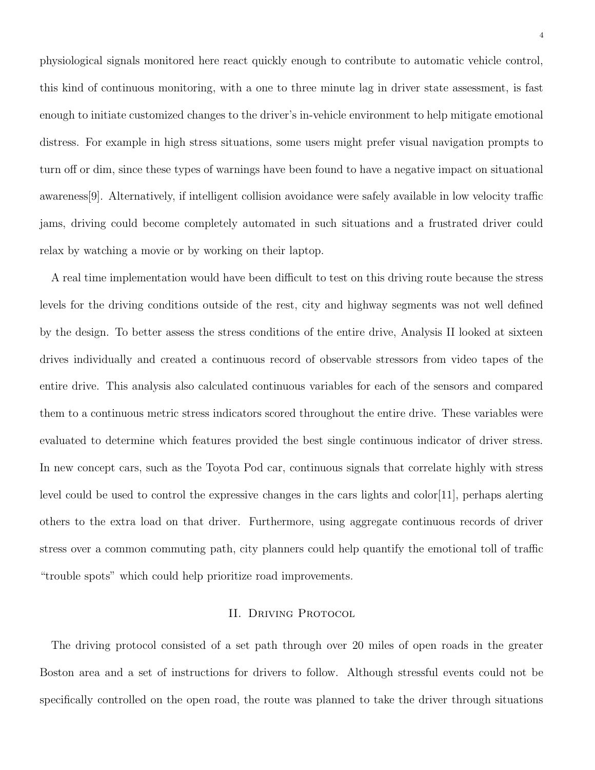physiological signals monitored here react quickly enough to contribute to automatic vehicle control, this kind of continuous monitoring, with a one to three minute lag in driver state assessment, is fast enough to initiate customized changes to the driver's in-vehicle environment to help mitigate emotional distress. For example in high stress situations, some users might prefer visual navigation prompts to turn off or dim, since these types of warnings have been found to have a negative impact on situational awareness[9]. Alternatively, if intelligent collision avoidance were safely available in low velocity traffic jams, driving could become completely automated in such situations and a frustrated driver could relax by watching a movie or by working on their laptop.

A real time implementation would have been difficult to test on this driving route because the stress levels for the driving conditions outside of the rest, city and highway segments was not well defined by the design. To better assess the stress conditions of the entire drive, Analysis II looked at sixteen drives individually and created a continuous record of observable stressors from video tapes of the entire drive. This analysis also calculated continuous variables for each of the sensors and compared them to a continuous metric stress indicators scored throughout the entire drive. These variables were evaluated to determine which features provided the best single continuous indicator of driver stress. In new concept cars, such as the Toyota Pod car, continuous signals that correlate highly with stress level could be used to control the expressive changes in the cars lights and color  $[11]$ , perhaps alerting others to the extra load on that driver. Furthermore, using aggregate continuous records of driver stress over a common commuting path, city planners could help quantify the emotional toll of traffic "trouble spots" which could help prioritize road improvements.

### II. DRIVING PROTOCOL

The driving protocol consisted of a set path through over 20 miles of open roads in the greater Boston area and a set of instructions for drivers to follow. Although stressful events could not be specifically controlled on the open road, the route was planned to take the driver through situations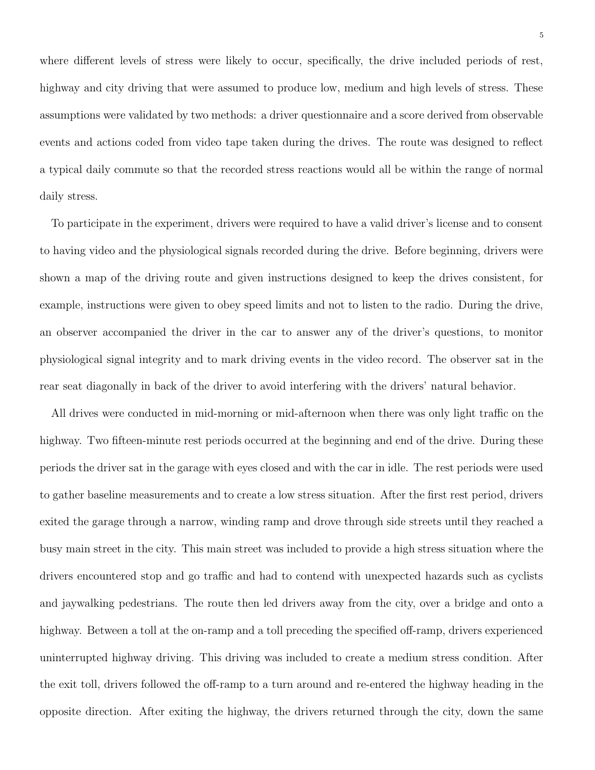where different levels of stress were likely to occur, specifically, the drive included periods of rest, highway and city driving that were assumed to produce low, medium and high levels of stress. These assumptions were validated by two methods: a driver questionnaire and a score derived from observable events and actions coded from video tape taken during the drives. The route was designed to reflect a typical daily commute so that the recorded stress reactions would all be within the range of normal daily stress.

To participate in the experiment, drivers were required to have a valid driver's license and to consent to having video and the physiological signals recorded during the drive. Before beginning, drivers were shown a map of the driving route and given instructions designed to keep the drives consistent, for example, instructions were given to obey speed limits and not to listen to the radio. During the drive, an observer accompanied the driver in the car to answer any of the driver's questions, to monitor physiological signal integrity and to mark driving events in the video record. The observer sat in the rear seat diagonally in back of the driver to avoid interfering with the drivers' natural behavior.

All drives were conducted in mid-morning or mid-afternoon when there was only light traffic on the highway. Two fifteen-minute rest periods occurred at the beginning and end of the drive. During these periods the driver sat in the garage with eyes closed and with the car in idle. The rest periods were used to gather baseline measurements and to create a low stress situation. After the first rest period, drivers exited the garage through a narrow, winding ramp and drove through side streets until they reached a busy main street in the city. This main street was included to provide a high stress situation where the drivers encountered stop and go traffic and had to contend with unexpected hazards such as cyclists and jaywalking pedestrians. The route then led drivers away from the city, over a bridge and onto a highway. Between a toll at the on-ramp and a toll preceding the specified off-ramp, drivers experienced uninterrupted highway driving. This driving was included to create a medium stress condition. After the exit toll, drivers followed the off-ramp to a turn around and re-entered the highway heading in the opposite direction. After exiting the highway, the drivers returned through the city, down the same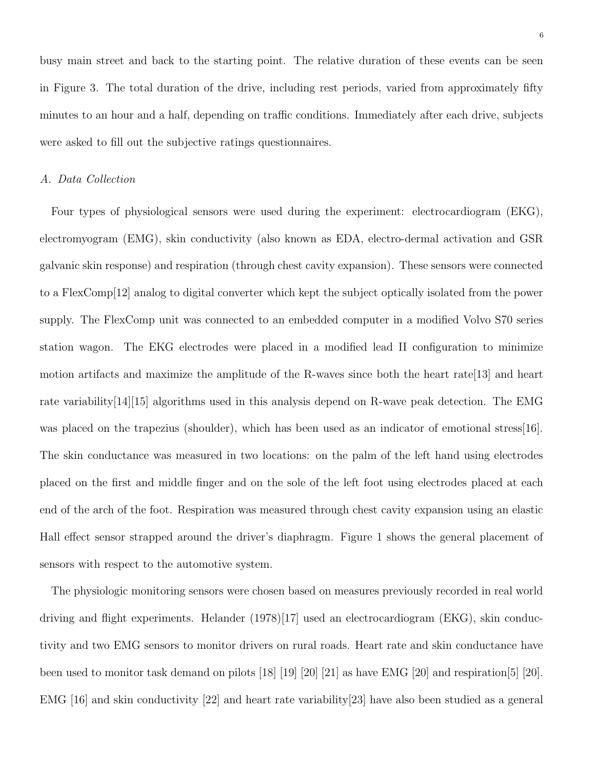busy main street and back to the starting point. The relative duration of these events can be seen in Figure 3. The total duration of the drive, including rest periods, varied from approximately fifty minutes to an hour and a half, depending on traffic conditions. Immediately after each drive, subjects were asked to fill out the subjective ratings questionnaires.

# A. Data Collection

Four types of physiological sensors were used during the experiment: electrocardiogram (EKG), electromyogram (EMG), skin conductivity (also known as EDA, electro-dermal activation and GSR galvanic skin response) and respiration (through chest cavity expansion). These sensors were connected to a FlexComp[12] analog to digital converter which kept the subject optically isolated from the power supply. The FlexComp unit was connected to an embedded computer in a modified Volvo S70 series station wagon. The EKG electrodes were placed in a modified lead II configuration to minimize motion artifacts and maximize the amplitude of the R-waves since both the heart rate 13 and heart rate variability[14][15] algorithms used in this analysis depend on R-wave peak detection. The EMG was placed on the trapezius (shoulder), which has been used as an indicator of emotional stress [16]. The skin conductance was measured in two locations: on the palm of the left hand using electrodes placed on the first and middle finger and on the sole of the left foot using electrodes placed at each end of the arch of the foot. Respiration was measured through chest cavity expansion using an elastic Hall effect sensor strapped around the driver's diaphragm. Figure 1 shows the general placement of sensors with respect to the automotive system.

The physiologic monitoring sensors were chosen based on measures previously recorded in real world driving and flight experiments. Helander  $(1978)|17|$  used an electrocardiogram (EKG), skin conductivity and two EMG sensors to monitor drivers on rural roads. Heart rate and skin conductance have been used to monitor task demand on pilots [18] [19] [20] [21] as have EMG [20] and respiration[5] [20]. EMG [16] and skin conductivity [22] and heart rate variability[23] have also been studied as a general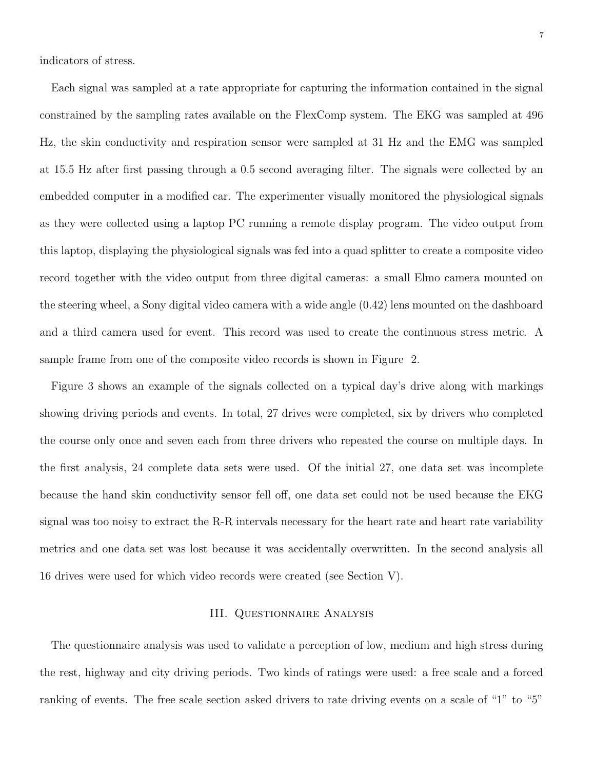indicators of stress.

Each signal was sampled at a rate appropriate for capturing the information contained in the signal constrained by the sampling rates available on the FlexComp system. The EKG was sampled at 496 Hz, the skin conductivity and respiration sensor were sampled at 31 Hz and the EMG was sampled at 15.5 Hz after first passing through a 0.5 second averaging filter. The signals were collected by an embedded computer in a modified car. The experimenter visually monitored the physiological signals as they were collected using a laptop PC running a remote display program. The video output from this laptop, displaying the physiological signals was fed into a quad splitter to create a composite video record together with the video output from three digital cameras: a small Elmo camera mounted on the steering wheel, a Sony digital video camera with a wide angle (0.42) lens mounted on the dashboard and a third camera used for event. This record was used to create the continuous stress metric. A sample frame from one of the composite video records is shown in Figure 2.

Figure 3 shows an example of the signals collected on a typical day's drive along with markings showing driving periods and events. In total, 27 drives were completed, six by drivers who completed the course only once and seven each from three drivers who repeated the course on multiple days. In the first analysis, 24 complete data sets were used. Of the initial 27, one data set was incomplete because the hand skin conductivity sensor fell off, one data set could not be used because the EKG signal was too noisy to extract the R-R intervals necessary for the heart rate and heart rate variability metrics and one data set was lost because it was accidentally overwritten. In the second analysis all 16 drives were used for which video records were created (see Section V).

# III. Questionnaire Analysis

The questionnaire analysis was used to validate a perception of low, medium and high stress during the rest, highway and city driving periods. Two kinds of ratings were used: a free scale and a forced ranking of events. The free scale section asked drivers to rate driving events on a scale of "1" to "5"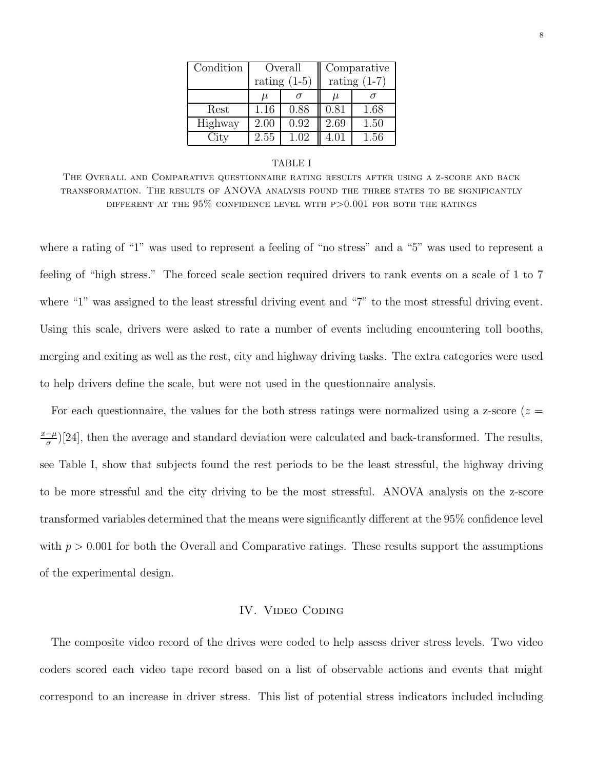| Condition       |       | Overall        | Comparative    |      |  |  |
|-----------------|-------|----------------|----------------|------|--|--|
|                 |       | rating $(1-5)$ | rating $(1-7)$ |      |  |  |
|                 | $\mu$ |                | $\mu$          |      |  |  |
| Rest            | 1.16  | 0.88           | 0.81           | 1.68 |  |  |
| Highway         | 2.00  | 0.92           | 2.69           | 1.50 |  |  |
| $\mathrm{Citv}$ | 2.55  | 1.02           | 4.OI           | 1.56 |  |  |

#### TABLE I

The Overall and Comparative questionnaire rating results after using a z-score and back transformation. The results of ANOVA analysis found the three states to be significantly DIFFERENT AT THE  $95\%$  CONFIDENCE LEVEL WITH  $P > 0.001$  for both the ratings

where a rating of "1" was used to represent a feeling of "no stress" and a "5" was used to represent a feeling of "high stress." The forced scale section required drivers to rank events on a scale of 1 to 7 where "1" was assigned to the least stressful driving event and "7" to the most stressful driving event. Using this scale, drivers were asked to rate a number of events including encountering toll booths, merging and exiting as well as the rest, city and highway driving tasks. The extra categories were used to help drivers define the scale, but were not used in the questionnaire analysis.

For each questionnaire, the values for the both stress ratings were normalized using a z-score ( $z =$  $x-\mu$  $\frac{-\mu}{\sigma}$ [24], then the average and standard deviation were calculated and back-transformed. The results, see Table I, show that subjects found the rest periods to be the least stressful, the highway driving to be more stressful and the city driving to be the most stressful. ANOVA analysis on the z-score transformed variables determined that the means were significantly different at the 95% confidence level with  $p > 0.001$  for both the Overall and Comparative ratings. These results support the assumptions of the experimental design.

# IV. Video Coding

The composite video record of the drives were coded to help assess driver stress levels. Two video coders scored each video tape record based on a list of observable actions and events that might correspond to an increase in driver stress. This list of potential stress indicators included including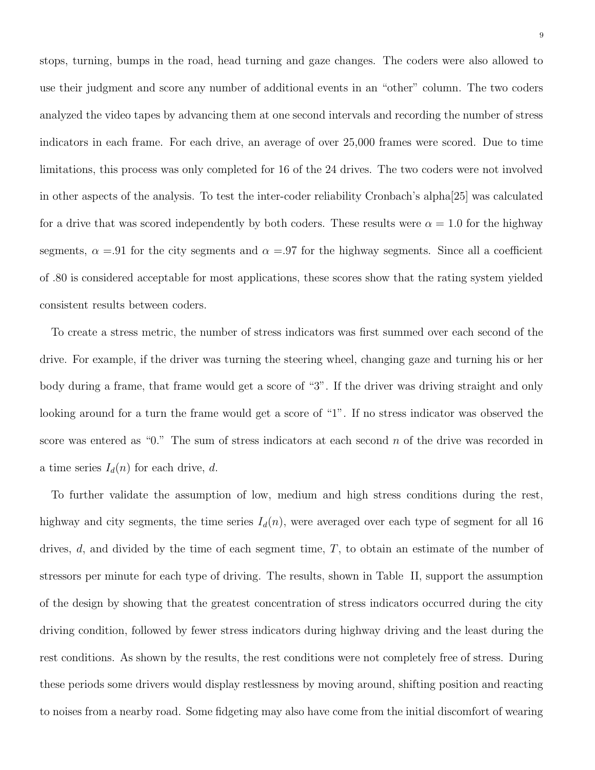stops, turning, bumps in the road, head turning and gaze changes. The coders were also allowed to use their judgment and score any number of additional events in an "other" column. The two coders analyzed the video tapes by advancing them at one second intervals and recording the number of stress indicators in each frame. For each drive, an average of over 25,000 frames were scored. Due to time limitations, this process was only completed for 16 of the 24 drives. The two coders were not involved in other aspects of the analysis. To test the inter-coder reliability Cronbach's alpha[25] was calculated for a drive that was scored independently by both coders. These results were  $\alpha = 1.0$  for the highway segments,  $\alpha = 91$  for the city segments and  $\alpha = 97$  for the highway segments. Since all a coefficient of .80 is considered acceptable for most applications, these scores show that the rating system yielded consistent results between coders.

To create a stress metric, the number of stress indicators was first summed over each second of the drive. For example, if the driver was turning the steering wheel, changing gaze and turning his or her body during a frame, that frame would get a score of "3". If the driver was driving straight and only looking around for a turn the frame would get a score of "1". If no stress indicator was observed the score was entered as " $0$ ." The sum of stress indicators at each second n of the drive was recorded in a time series  $I_d(n)$  for each drive, d.

To further validate the assumption of low, medium and high stress conditions during the rest, highway and city segments, the time series  $I_d(n)$ , were averaged over each type of segment for all 16 drives,  $d$ , and divided by the time of each segment time,  $T$ , to obtain an estimate of the number of stressors per minute for each type of driving. The results, shown in Table II, support the assumption of the design by showing that the greatest concentration of stress indicators occurred during the city driving condition, followed by fewer stress indicators during highway driving and the least during the rest conditions. As shown by the results, the rest conditions were not completely free of stress. During these periods some drivers would display restlessness by moving around, shifting position and reacting to noises from a nearby road. Some fidgeting may also have come from the initial discomfort of wearing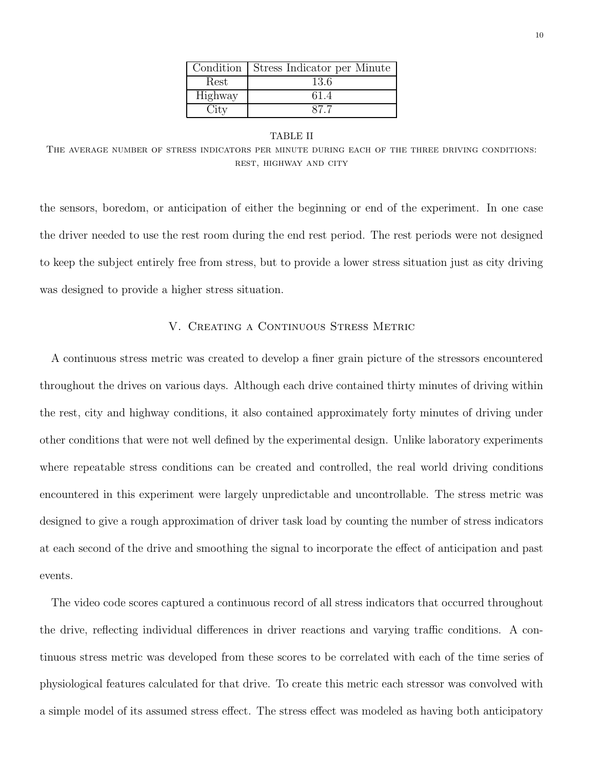|         | Condition   Stress Indicator per Minute |
|---------|-----------------------------------------|
| Rest    | 13.6                                    |
| Highway | 61.4                                    |
| City    | 87 7                                    |

#### TABLE II

The average number of stress indicators per minute during each of the three driving conditions: rest, highway and city

the sensors, boredom, or anticipation of either the beginning or end of the experiment. In one case the driver needed to use the rest room during the end rest period. The rest periods were not designed to keep the subject entirely free from stress, but to provide a lower stress situation just as city driving was designed to provide a higher stress situation.

# V. CREATING A CONTINUOUS STRESS METRIC

A continuous stress metric was created to develop a finer grain picture of the stressors encountered throughout the drives on various days. Although each drive contained thirty minutes of driving within the rest, city and highway conditions, it also contained approximately forty minutes of driving under other conditions that were not well defined by the experimental design. Unlike laboratory experiments where repeatable stress conditions can be created and controlled, the real world driving conditions encountered in this experiment were largely unpredictable and uncontrollable. The stress metric was designed to give a rough approximation of driver task load by counting the number of stress indicators at each second of the drive and smoothing the signal to incorporate the effect of anticipation and past events.

The video code scores captured a continuous record of all stress indicators that occurred throughout the drive, reflecting individual differences in driver reactions and varying traffic conditions. A continuous stress metric was developed from these scores to be correlated with each of the time series of physiological features calculated for that drive. To create this metric each stressor was convolved with a simple model of its assumed stress effect. The stress effect was modeled as having both anticipatory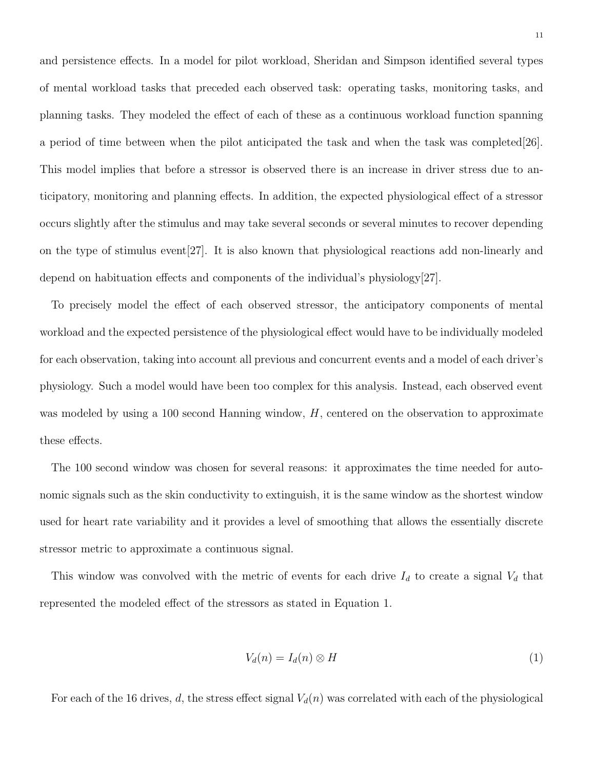and persistence effects. In a model for pilot workload, Sheridan and Simpson identified several types of mental workload tasks that preceded each observed task: operating tasks, monitoring tasks, and planning tasks. They modeled the effect of each of these as a continuous workload function spanning a period of time between when the pilot anticipated the task and when the task was completed[26]. This model implies that before a stressor is observed there is an increase in driver stress due to anticipatory, monitoring and planning effects. In addition, the expected physiological effect of a stressor occurs slightly after the stimulus and may take several seconds or several minutes to recover depending on the type of stimulus event[27]. It is also known that physiological reactions add non-linearly and depend on habituation effects and components of the individual's physiology[27].

To precisely model the effect of each observed stressor, the anticipatory components of mental workload and the expected persistence of the physiological effect would have to be individually modeled for each observation, taking into account all previous and concurrent events and a model of each driver's physiology. Such a model would have been too complex for this analysis. Instead, each observed event was modeled by using a 100 second Hanning window,  $H$ , centered on the observation to approximate these effects.

The 100 second window was chosen for several reasons: it approximates the time needed for autonomic signals such as the skin conductivity to extinguish, it is the same window as the shortest window used for heart rate variability and it provides a level of smoothing that allows the essentially discrete stressor metric to approximate a continuous signal.

This window was convolved with the metric of events for each drive  $I_d$  to create a signal  $V_d$  that represented the modeled effect of the stressors as stated in Equation 1.

$$
V_d(n) = I_d(n) \otimes H \tag{1}
$$

For each of the 16 drives, d, the stress effect signal  $V_d(n)$  was correlated with each of the physiological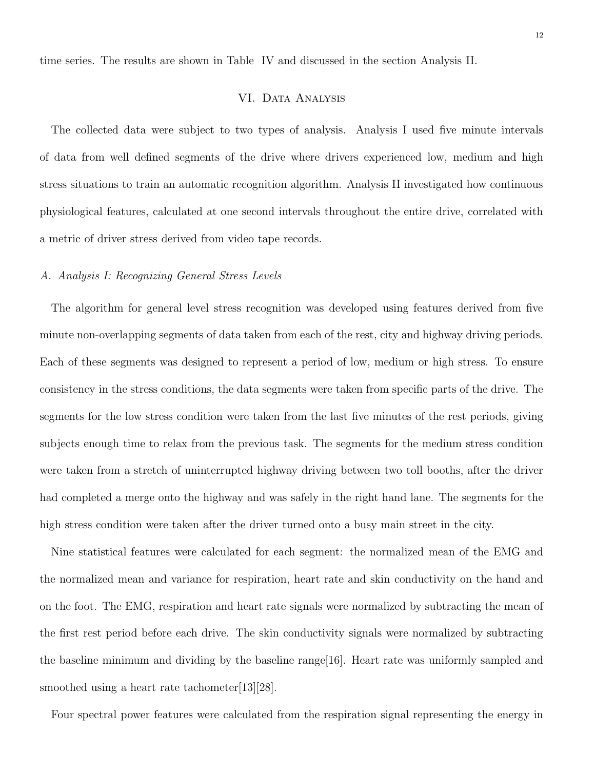time series. The results are shown in Table IV and discussed in the section Analysis II.

# VI. DATA ANALYSIS

The collected data were subject to two types of analysis. Analysis I used five minute intervals of data from well defined segments of the drive where drivers experienced low, medium and high stress situations to train an automatic recognition algorithm. Analysis II investigated how continuous physiological features, calculated at one second intervals throughout the entire drive, correlated with a metric of driver stress derived from video tape records.

# A. Analysis I: Recognizing General Stress Levels

The algorithm for general level stress recognition was developed using features derived from five minute non-overlapping segments of data taken from each of the rest, city and highway driving periods. Each of these segments was designed to represent a period of low, medium or high stress. To ensure consistency in the stress conditions, the data segments were taken from specific parts of the drive. The segments for the low stress condition were taken from the last five minutes of the rest periods, giving subjects enough time to relax from the previous task. The segments for the medium stress condition were taken from a stretch of uninterrupted highway driving between two toll booths, after the driver had completed a merge onto the highway and was safely in the right hand lane. The segments for the high stress condition were taken after the driver turned onto a busy main street in the city.

Nine statistical features were calculated for each segment: the normalized mean of the EMG and the normalized mean and variance for respiration, heart rate and skin conductivity on the hand and on the foot. The EMG, respiration and heart rate signals were normalized by subtracting the mean of the first rest period before each drive. The skin conductivity signals were normalized by subtracting the baseline minimum and dividing by the baseline range[16]. Heart rate was uniformly sampled and smoothed using a heart rate tachometer $|13||28|$ .

Four spectral power features were calculated from the respiration signal representing the energy in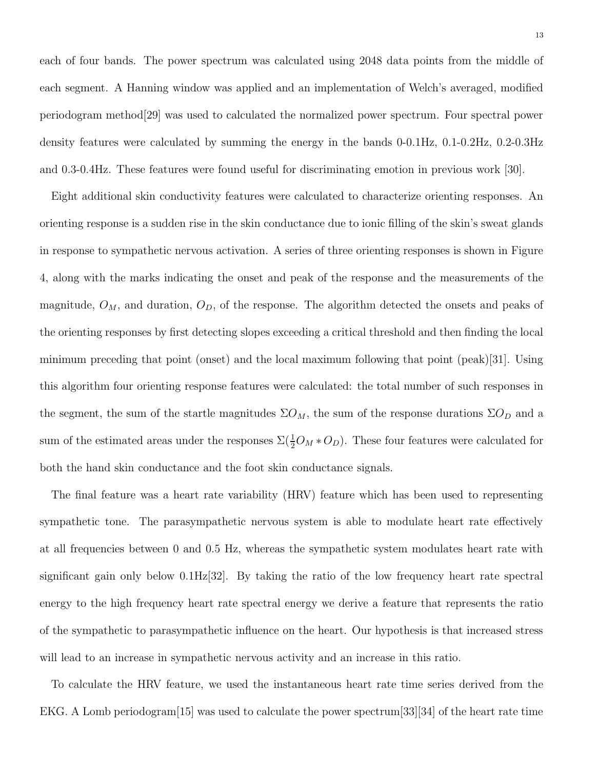each of four bands. The power spectrum was calculated using 2048 data points from the middle of each segment. A Hanning window was applied and an implementation of Welch's averaged, modified periodogram method[29] was used to calculated the normalized power spectrum. Four spectral power density features were calculated by summing the energy in the bands 0-0.1Hz, 0.1-0.2Hz, 0.2-0.3Hz and 0.3-0.4Hz. These features were found useful for discriminating emotion in previous work [30].

Eight additional skin conductivity features were calculated to characterize orienting responses. An orienting response is a sudden rise in the skin conductance due to ionic filling of the skin's sweat glands in response to sympathetic nervous activation. A series of three orienting responses is shown in Figure 4, along with the marks indicating the onset and peak of the response and the measurements of the magnitude,  $O_M$ , and duration,  $O_D$ , of the response. The algorithm detected the onsets and peaks of the orienting responses by first detecting slopes exceeding a critical threshold and then finding the local minimum preceding that point (onset) and the local maximum following that point (peak)[31]. Using this algorithm four orienting response features were calculated: the total number of such responses in the segment, the sum of the startle magnitudes  $\Sigma O_M$ , the sum of the response durations  $\Sigma O_D$  and a sum of the estimated areas under the responses  $\Sigma(\frac{1}{2}O_M * O_D)$ . These four features were calculated for both the hand skin conductance and the foot skin conductance signals.

The final feature was a heart rate variability (HRV) feature which has been used to representing sympathetic tone. The parasympathetic nervous system is able to modulate heart rate effectively at all frequencies between 0 and 0.5 Hz, whereas the sympathetic system modulates heart rate with significant gain only below 0.1Hz[32]. By taking the ratio of the low frequency heart rate spectral energy to the high frequency heart rate spectral energy we derive a feature that represents the ratio of the sympathetic to parasympathetic influence on the heart. Our hypothesis is that increased stress will lead to an increase in sympathetic nervous activity and an increase in this ratio.

To calculate the HRV feature, we used the instantaneous heart rate time series derived from the EKG. A Lomb periodogram[15] was used to calculate the power spectrum[33][34] of the heart rate time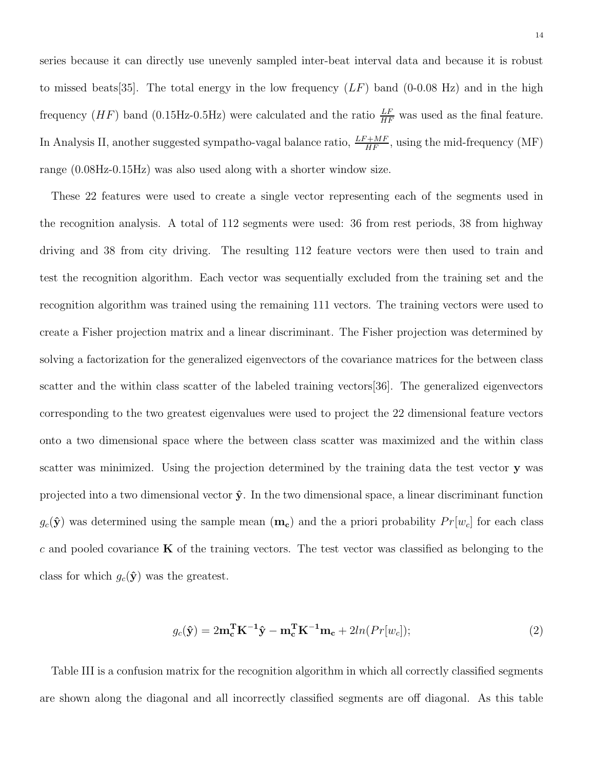series because it can directly use unevenly sampled inter-beat interval data and because it is robust to missed beats [35]. The total energy in the low frequency  $(LF)$  band  $(0-0.08 \text{ Hz})$  and in the high frequency  $(HF)$  band  $(0.15 \text{Hz} \cdot 0.5 \text{Hz})$  were calculated and the ratio  $\frac{LF}{HF}$  was used as the final feature. In Analysis II, another suggested sympatho-vagal balance ratio,  $\frac{LF + MF}{HF}$ , using the mid-frequency (MF) range (0.08Hz-0.15Hz) was also used along with a shorter window size.

These 22 features were used to create a single vector representing each of the segments used in the recognition analysis. A total of 112 segments were used: 36 from rest periods, 38 from highway driving and 38 from city driving. The resulting 112 feature vectors were then used to train and test the recognition algorithm. Each vector was sequentially excluded from the training set and the recognition algorithm was trained using the remaining 111 vectors. The training vectors were used to create a Fisher projection matrix and a linear discriminant. The Fisher projection was determined by solving a factorization for the generalized eigenvectors of the covariance matrices for the between class scatter and the within class scatter of the labeled training vectors[36]. The generalized eigenvectors corresponding to the two greatest eigenvalues were used to project the 22 dimensional feature vectors onto a two dimensional space where the between class scatter was maximized and the within class scatter was minimized. Using the projection determined by the training data the test vector y was projected into a two dimensional vector  $\hat{y}$ . In the two dimensional space, a linear discriminant function  $g_c(\hat{\mathbf{y}})$  was determined using the sample mean  $(\mathbf{m_c})$  and the a priori probability  $Pr[w_c]$  for each class c and pooled covariance  $\bf{K}$  of the training vectors. The test vector was classified as belonging to the class for which  $g_c(\hat{\mathbf{y}})$  was the greatest.

$$
g_c(\hat{\mathbf{y}}) = 2\mathbf{m_c^T}\mathbf{K^{-1}\hat{y}} - \mathbf{m_c^T}\mathbf{K^{-1}m_c} + 2ln(Pr[w_c]);
$$
\n(2)

Table III is a confusion matrix for the recognition algorithm in which all correctly classified segments are shown along the diagonal and all incorrectly classified segments are off diagonal. As this table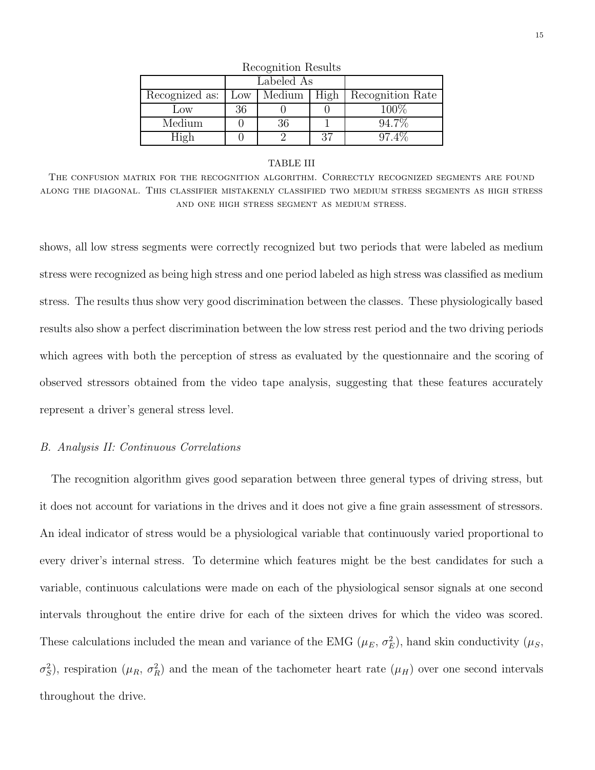| rtoooghitusii rtootiito |     |            |      |                  |  |  |  |  |  |
|-------------------------|-----|------------|------|------------------|--|--|--|--|--|
|                         |     | Labeled As |      |                  |  |  |  |  |  |
| Recognized as:          | Low | Medium     | High | Recognition Rate |  |  |  |  |  |
| Low                     | 36  |            |      | $100\%$          |  |  |  |  |  |
| Medium                  |     | 36         |      | 94.7%            |  |  |  |  |  |
| High                    |     |            | 37   | 97.4%            |  |  |  |  |  |

Recognition Results

#### TABLE III

The confusion matrix for the recognition algorithm. Correctly recognized segments are found along the diagonal. This classifier mistakenly classified two medium stress segments as high stress and one high stress segment as medium stress.

shows, all low stress segments were correctly recognized but two periods that were labeled as medium stress were recognized as being high stress and one period labeled as high stress was classified as medium stress. The results thus show very good discrimination between the classes. These physiologically based results also show a perfect discrimination between the low stress rest period and the two driving periods which agrees with both the perception of stress as evaluated by the questionnaire and the scoring of observed stressors obtained from the video tape analysis, suggesting that these features accurately represent a driver's general stress level.

# B. Analysis II: Continuous Correlations

The recognition algorithm gives good separation between three general types of driving stress, but it does not account for variations in the drives and it does not give a fine grain assessment of stressors. An ideal indicator of stress would be a physiological variable that continuously varied proportional to every driver's internal stress. To determine which features might be the best candidates for such a variable, continuous calculations were made on each of the physiological sensor signals at one second intervals throughout the entire drive for each of the sixteen drives for which the video was scored. These calculations included the mean and variance of the EMG  $(\mu_E, \sigma_E^2)$ , hand skin conductivity  $(\mu_S, \sigma_E^2)$  $\sigma_S^2$ <sup>2</sup>/<sub>S</sub>), respiration ( $\mu_R$ ,  $\sigma_R^2$ ) and the mean of the tachometer heart rate ( $\mu_H$ ) over one second intervals throughout the drive.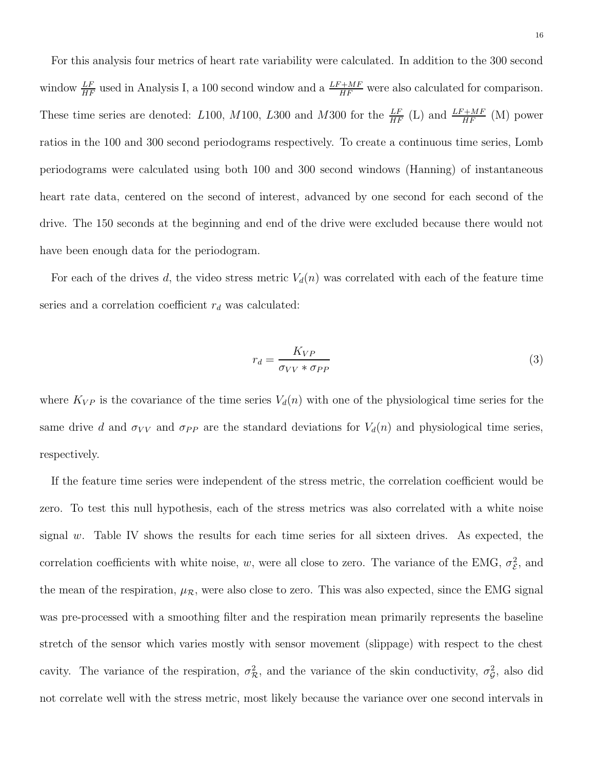For this analysis four metrics of heart rate variability were calculated. In addition to the 300 second window  $\frac{LF}{HF}$  $\frac{LF}{HF}$  used in Analysis I, a 100 second window and a  $\frac{LF+MF}{HF}$  were also calculated for comparison. These time series are denoted: L100, M100, L300 and M300 for the  $\frac{LF}{HF}$  (L) and  $\frac{LF+MF}{HF}$  (M) power ratios in the 100 and 300 second periodograms respectively. To create a continuous time series, Lomb periodograms were calculated using both 100 and 300 second windows (Hanning) of instantaneous heart rate data, centered on the second of interest, advanced by one second for each second of the drive. The 150 seconds at the beginning and end of the drive were excluded because there would not have been enough data for the periodogram.

For each of the drives d, the video stress metric  $V_d(n)$  was correlated with each of the feature time series and a correlation coefficient  $r_d$  was calculated:

$$
r_d = \frac{K_{VP}}{\sigma_{VV} * \sigma_{PP}}\tag{3}
$$

where  $K_{VP}$  is the covariance of the time series  $V_d(n)$  with one of the physiological time series for the same drive d and  $\sigma_{VV}$  and  $\sigma_{PP}$  are the standard deviations for  $V_d(n)$  and physiological time series, respectively.

If the feature time series were independent of the stress metric, the correlation coefficient would be zero. To test this null hypothesis, each of the stress metrics was also correlated with a white noise signal w. Table IV shows the results for each time series for all sixteen drives. As expected, the correlation coefficients with white noise, w, were all close to zero. The variance of the EMG,  $\sigma_{\mathcal{E}}^2$ , and the mean of the respiration,  $\mu_{\mathcal{R}}$ , were also close to zero. This was also expected, since the EMG signal was pre-processed with a smoothing filter and the respiration mean primarily represents the baseline stretch of the sensor which varies mostly with sensor movement (slippage) with respect to the chest cavity. The variance of the respiration,  $\sigma_{\mathcal{R}}^2$ , and the variance of the skin conductivity,  $\sigma_{\mathcal{G}}^2$ , also did not correlate well with the stress metric, most likely because the variance over one second intervals in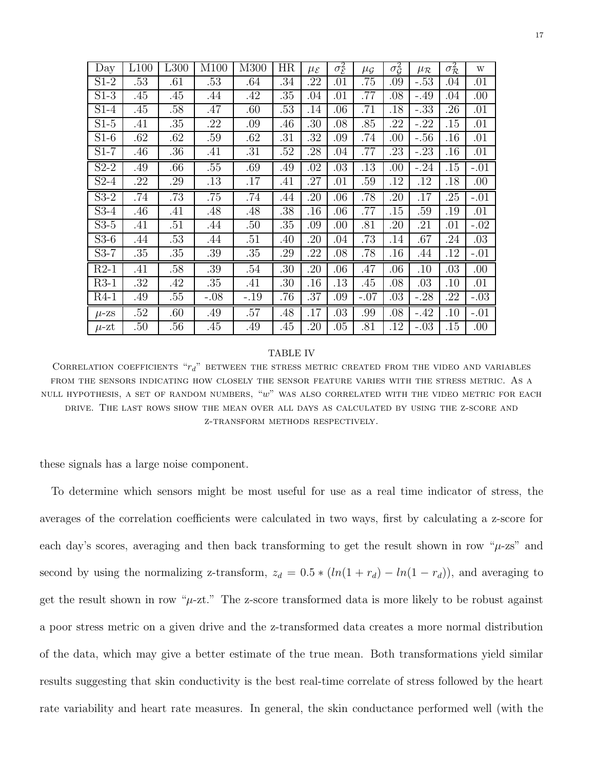| Day       | $_{\rm L100}$ | L300 | M100   | M300   | HR      | $\mu_{\mathcal{E}}$ | $\sigma_{\mathcal{E}}^2$ | $\mu_{\mathcal G}$ | $\sigma_G^2$ | $\mu_{\mathcal{R}}$ | $\sigma^2_{\mathcal{R}}$ | W      |
|-----------|---------------|------|--------|--------|---------|---------------------|--------------------------|--------------------|--------------|---------------------|--------------------------|--------|
| $S1-2$    | .53           | .61  | .53    | .64    | .34     | .22                 | .01                      | .75                | .09          | $-.53$              | .04                      | .01    |
| $S1-3$    | .45           | .45  | .44    | .42    | .35     | .04                 | .01                      | .77                | .08          | $-.49$              | .04                      | .00    |
| $S1-4$    | .45           | .58  | .47    | .60    | .53     | .14                 | .06                      | .71                | .18          | $-.33$              | .26                      | .01    |
| $S1-5$    | .41           | .35  | .22    | .09    | .46     | .30                 | .08                      | .85                | .22          | $-.22$              | .15                      | .01    |
| $S1-6$    | .62           | .62  | .59    | .62    | .31     | .32                 | .09                      | .74                | .00          | $-.56$              | .16                      | .01    |
| $S1-7$    | .46           | .36  | .41    | .31    | $.52\,$ | .28                 | .04                      | .77                | .23          | $-.23$              | .16                      | .01    |
| $S2-2$    | .49           | .66  | .55    | .69    | .49     | .02                 | .03                      | .13                | .00          | $-.24$              | .15                      | $-.01$ |
| $S2-4$    | .22           | .29  | .13    | .17    | .41     | .27                 | .01                      | .59                | .12          | .12                 | .18                      | .00    |
| $S3-2$    | .74           | .73  | .75    | .74    | .44     | .20                 | .06                      | .78                | .20          | .17                 | .25                      | $-.01$ |
| $S3-4$    | .46           | .41  | .48    | .48    | .38     | .16                 | .06                      | .77                | .15          | .59                 | .19                      | .01    |
| $S3-5$    | .41           | .51  | .44    | .50    | .35     | .09                 | .00.                     | .81                | .20          | .21                 | .01                      | $-.02$ |
| $S3-6$    | .44           | .53  | .44    | .51    | .40     | .20                 | .04                      | .73                | .14          | .67                 | .24                      | .03    |
| S3-7      | .35           | .35  | .39    | .35    | .29     | .22                 | .08                      | .78                | .16          | .44                 | $.12\,$                  | $-.01$ |
| $R2-1$    | .41           | .58  | .39    | .54    | .30     | .20                 | .06                      | .47                | .06          | .10                 | .03                      | .00    |
| $R3-1$    | .32           | .42  | .35    | .41    | .30     | .16                 | .13                      | .45                | .08          | .03                 | .10                      | .01    |
| R4-1      | .49           | .55  | $-.08$ | $-.19$ | .76     | .37                 | .09                      | $-.07$             | .03          | $-.28$              | .22                      | $-.03$ |
| $\mu$ -zs | .52           | .60  | .49    | .57    | .48     | .17                 | .03                      | .99                | .08          | $-.42$              | .10                      | $-.01$ |
| $\mu$ -zt | .50           | .56  | .45    | .49    | .45     | .20                 | .05                      | .81                | .12          | $-.03$              | .15                      | .00    |

#### TABLE IV

CORRELATION COEFFICIENTS " $r_d$ " between the stress metric created from the video and variables from the sensors indicating how closely the sensor feature varies with the stress metric. As a NULL HYPOTHESIS, A SET OF RANDOM NUMBERS, " $w$ " was also correlated with the video metric for each drive. The last rows show the mean over all days as calculated by using the z-score and z-transform methods respectively.

these signals has a large noise component.

To determine which sensors might be most useful for use as a real time indicator of stress, the averages of the correlation coefficients were calculated in two ways, first by calculating a z-score for each day's scores, averaging and then back transforming to get the result shown in row " $\mu$ -zs" and second by using the normalizing z-transform,  $z_d = 0.5 * (ln(1 + r_d) - ln(1 - r_d))$ , and averaging to get the result shown in row " $\mu$ -zt." The z-score transformed data is more likely to be robust against a poor stress metric on a given drive and the z-transformed data creates a more normal distribution of the data, which may give a better estimate of the true mean. Both transformations yield similar results suggesting that skin conductivity is the best real-time correlate of stress followed by the heart rate variability and heart rate measures. In general, the skin conductance performed well (with the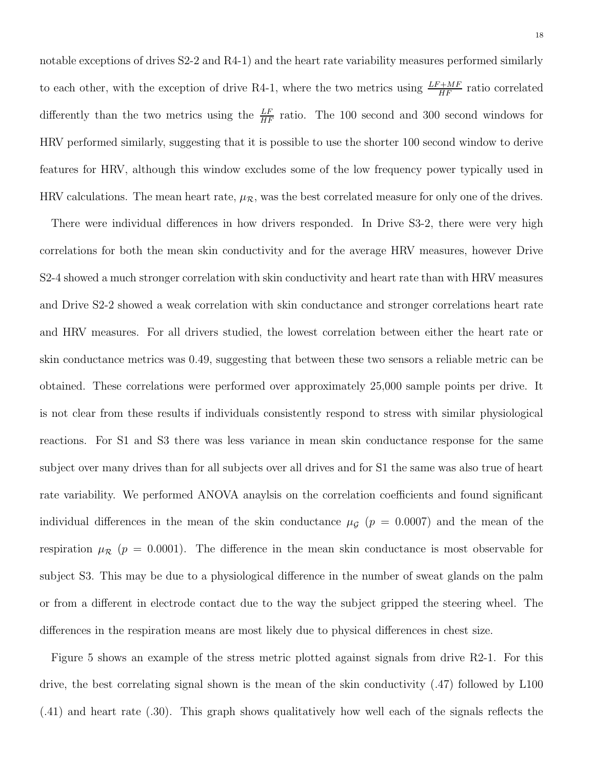notable exceptions of drives S2-2 and R4-1) and the heart rate variability measures performed similarly to each other, with the exception of drive R4-1, where the two metrics using  $\frac{LF+MF}{HF}$  ratio correlated differently than the two metrics using the  $\frac{LF}{HF}$  ratio. The 100 second and 300 second windows for HRV performed similarly, suggesting that it is possible to use the shorter 100 second window to derive features for HRV, although this window excludes some of the low frequency power typically used in HRV calculations. The mean heart rate,  $\mu_{\mathcal{R}}$ , was the best correlated measure for only one of the drives.

There were individual differences in how drivers responded. In Drive S3-2, there were very high correlations for both the mean skin conductivity and for the average HRV measures, however Drive S2-4 showed a much stronger correlation with skin conductivity and heart rate than with HRV measures and Drive S2-2 showed a weak correlation with skin conductance and stronger correlations heart rate and HRV measures. For all drivers studied, the lowest correlation between either the heart rate or skin conductance metrics was 0.49, suggesting that between these two sensors a reliable metric can be obtained. These correlations were performed over approximately 25,000 sample points per drive. It is not clear from these results if individuals consistently respond to stress with similar physiological reactions. For S1 and S3 there was less variance in mean skin conductance response for the same subject over many drives than for all subjects over all drives and for S1 the same was also true of heart rate variability. We performed ANOVA anaylsis on the correlation coefficients and found significant individual differences in the mean of the skin conductance  $\mu$  ( $p = 0.0007$ ) and the mean of the respiration  $\mu_{\mathcal{R}}$  ( $p = 0.0001$ ). The difference in the mean skin conductance is most observable for subject S3. This may be due to a physiological difference in the number of sweat glands on the palm or from a different in electrode contact due to the way the subject gripped the steering wheel. The differences in the respiration means are most likely due to physical differences in chest size.

Figure 5 shows an example of the stress metric plotted against signals from drive R2-1. For this drive, the best correlating signal shown is the mean of the skin conductivity (.47) followed by L100 (.41) and heart rate (.30). This graph shows qualitatively how well each of the signals reflects the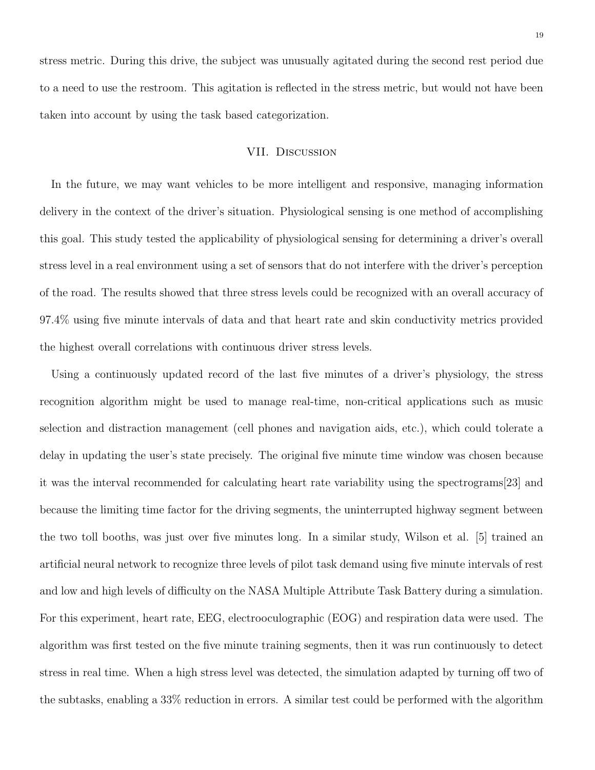stress metric. During this drive, the subject was unusually agitated during the second rest period due to a need to use the restroom. This agitation is reflected in the stress metric, but would not have been taken into account by using the task based categorization.

# VII. Discussion

In the future, we may want vehicles to be more intelligent and responsive, managing information delivery in the context of the driver's situation. Physiological sensing is one method of accomplishing this goal. This study tested the applicability of physiological sensing for determining a driver's overall stress level in a real environment using a set of sensors that do not interfere with the driver's perception of the road. The results showed that three stress levels could be recognized with an overall accuracy of 97.4% using five minute intervals of data and that heart rate and skin conductivity metrics provided the highest overall correlations with continuous driver stress levels.

Using a continuously updated record of the last five minutes of a driver's physiology, the stress recognition algorithm might be used to manage real-time, non-critical applications such as music selection and distraction management (cell phones and navigation aids, etc.), which could tolerate a delay in updating the user's state precisely. The original five minute time window was chosen because it was the interval recommended for calculating heart rate variability using the spectrograms[23] and because the limiting time factor for the driving segments, the uninterrupted highway segment between the two toll booths, was just over five minutes long. In a similar study, Wilson et al. [5] trained an artificial neural network to recognize three levels of pilot task demand using five minute intervals of rest and low and high levels of difficulty on the NASA Multiple Attribute Task Battery during a simulation. For this experiment, heart rate, EEG, electrooculographic (EOG) and respiration data were used. The algorithm was first tested on the five minute training segments, then it was run continuously to detect stress in real time. When a high stress level was detected, the simulation adapted by turning off two of the subtasks, enabling a 33% reduction in errors. A similar test could be performed with the algorithm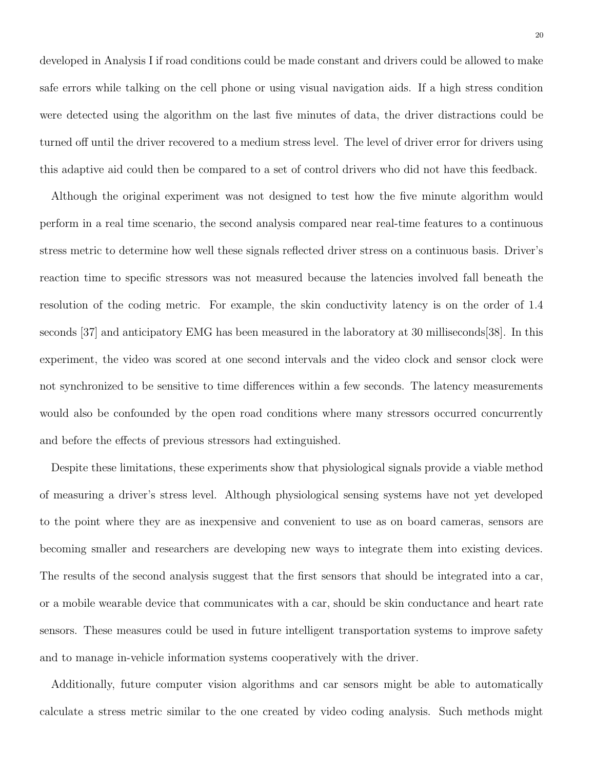developed in Analysis I if road conditions could be made constant and drivers could be allowed to make safe errors while talking on the cell phone or using visual navigation aids. If a high stress condition were detected using the algorithm on the last five minutes of data, the driver distractions could be turned off until the driver recovered to a medium stress level. The level of driver error for drivers using this adaptive aid could then be compared to a set of control drivers who did not have this feedback.

Although the original experiment was not designed to test how the five minute algorithm would perform in a real time scenario, the second analysis compared near real-time features to a continuous stress metric to determine how well these signals reflected driver stress on a continuous basis. Driver's reaction time to specific stressors was not measured because the latencies involved fall beneath the resolution of the coding metric. For example, the skin conductivity latency is on the order of 1.4 seconds [37] and anticipatory EMG has been measured in the laboratory at 30 milliseconds[38]. In this experiment, the video was scored at one second intervals and the video clock and sensor clock were not synchronized to be sensitive to time differences within a few seconds. The latency measurements would also be confounded by the open road conditions where many stressors occurred concurrently and before the effects of previous stressors had extinguished.

Despite these limitations, these experiments show that physiological signals provide a viable method of measuring a driver's stress level. Although physiological sensing systems have not yet developed to the point where they are as inexpensive and convenient to use as on board cameras, sensors are becoming smaller and researchers are developing new ways to integrate them into existing devices. The results of the second analysis suggest that the first sensors that should be integrated into a car, or a mobile wearable device that communicates with a car, should be skin conductance and heart rate sensors. These measures could be used in future intelligent transportation systems to improve safety and to manage in-vehicle information systems cooperatively with the driver.

Additionally, future computer vision algorithms and car sensors might be able to automatically calculate a stress metric similar to the one created by video coding analysis. Such methods might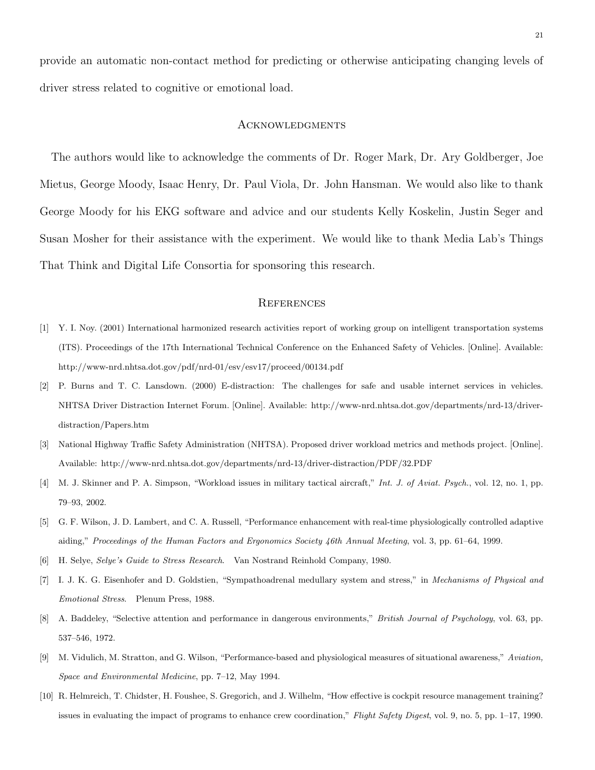provide an automatic non-contact method for predicting or otherwise anticipating changing levels of driver stress related to cognitive or emotional load.

# Acknowledgments

The authors would like to acknowledge the comments of Dr. Roger Mark, Dr. Ary Goldberger, Joe Mietus, George Moody, Isaac Henry, Dr. Paul Viola, Dr. John Hansman. We would also like to thank George Moody for his EKG software and advice and our students Kelly Koskelin, Justin Seger and Susan Mosher for their assistance with the experiment. We would like to thank Media Lab's Things That Think and Digital Life Consortia for sponsoring this research.

# **REFERENCES**

- [1] Y. I. Noy. (2001) International harmonized research activities report of working group on intelligent transportation systems (ITS). Proceedings of the 17th International Technical Conference on the Enhanced Safety of Vehicles. [Online]. Available: http://www-nrd.nhtsa.dot.gov/pdf/nrd-01/esv/esv17/proceed/00134.pdf
- [2] P. Burns and T. C. Lansdown. (2000) E-distraction: The challenges for safe and usable internet services in vehicles. NHTSA Driver Distraction Internet Forum. [Online]. Available: http://www-nrd.nhtsa.dot.gov/departments/nrd-13/driverdistraction/Papers.htm
- [3] National Highway Traffic Safety Administration (NHTSA). Proposed driver workload metrics and methods project. [Online]. Available: http://www-nrd.nhtsa.dot.gov/departments/nrd-13/driver-distraction/PDF/32.PDF
- [4] M. J. Skinner and P. A. Simpson, "Workload issues in military tactical aircraft," Int. J. of Aviat. Psych., vol. 12, no. 1, pp. 79–93, 2002.
- [5] G. F. Wilson, J. D. Lambert, and C. A. Russell, "Performance enhancement with real-time physiologically controlled adaptive aiding," Proceedings of the Human Factors and Ergonomics Society 46th Annual Meeting, vol. 3, pp. 61–64, 1999.
- [6] H. Selye, Selye's Guide to Stress Research. Van Nostrand Reinhold Company, 1980.
- [7] I. J. K. G. Eisenhofer and D. Goldstien, "Sympathoadrenal medullary system and stress," in Mechanisms of Physical and Emotional Stress. Plenum Press, 1988.
- [8] A. Baddeley, "Selective attention and performance in dangerous environments," British Journal of Psychology, vol. 63, pp. 537–546, 1972.
- [9] M. Vidulich, M. Stratton, and G. Wilson, "Performance-based and physiological measures of situational awareness," Aviation, Space and Environmental Medicine, pp. 7–12, May 1994.
- [10] R. Helmreich, T. Chidster, H. Foushee, S. Gregorich, and J. Wilhelm, "How effective is cockpit resource management training? issues in evaluating the impact of programs to enhance crew coordination," Flight Safety Digest, vol. 9, no. 5, pp.  $1-17$ , 1990.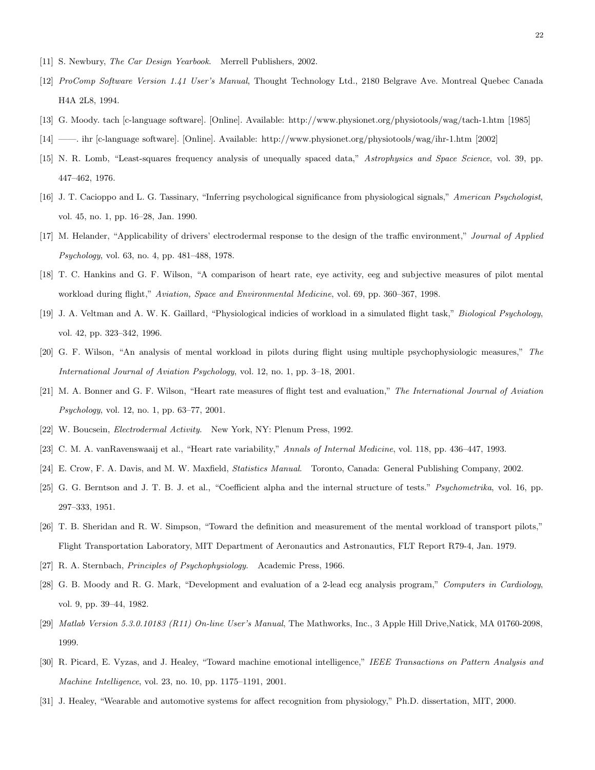- [11] S. Newbury, *The Car Design Yearbook*. Merrell Publishers, 2002.
- [12] ProComp Software Version 1.41 User's Manual, Thought Technology Ltd., 2180 Belgrave Ave. Montreal Quebec Canada H4A 2L8, 1994.
- [13] G. Moody. tach [c-language software]. [Online]. Available: http://www.physionet.org/physiotools/wag/tach-1.htm [1985]
- [14] ——. ihr [c-language software]. [Online]. Available: http://www.physionet.org/physiotools/wag/ihr-1.htm [2002]
- [15] N. R. Lomb, "Least-squares frequency analysis of unequally spaced data," Astrophysics and Space Science, vol. 39, pp. 447–462, 1976.
- [16] J. T. Cacioppo and L. G. Tassinary, "Inferring psychological significance from physiological signals," American Psychologist, vol. 45, no. 1, pp. 16–28, Jan. 1990.
- [17] M. Helander, "Applicability of drivers' electrodermal response to the design of the traffic environment," Journal of Applied Psychology, vol. 63, no. 4, pp. 481–488, 1978.
- [18] T. C. Hankins and G. F. Wilson, "A comparison of heart rate, eye activity, eeg and subjective measures of pilot mental workload during flight," Aviation, Space and Environmental Medicine, vol. 69, pp. 360–367, 1998.
- [19] J. A. Veltman and A. W. K. Gaillard, "Physiological indicies of workload in a simulated flight task," Biological Psychology, vol. 42, pp. 323–342, 1996.
- [20] G. F. Wilson, "An analysis of mental workload in pilots during flight using multiple psychophysiologic measures," The International Journal of Aviation Psychology, vol. 12, no. 1, pp. 3–18, 2001.
- [21] M. A. Bonner and G. F. Wilson, "Heart rate measures of flight test and evaluation," The International Journal of Aviation Psychology, vol. 12, no. 1, pp. 63–77, 2001.
- [22] W. Boucsein, Electrodermal Activity. New York, NY: Plenum Press, 1992.
- [23] C. M. A. vanRavenswaaij et al., "Heart rate variability," Annals of Internal Medicine, vol. 118, pp. 436–447, 1993.
- [24] E. Crow, F. A. Davis, and M. W. Maxfield, Statistics Manual. Toronto, Canada: General Publishing Company, 2002.
- [25] G. G. Berntson and J. T. B. J. et al., "Coefficient alpha and the internal structure of tests." Psychometrika, vol. 16, pp. 297–333, 1951.
- [26] T. B. Sheridan and R. W. Simpson, "Toward the definition and measurement of the mental workload of transport pilots," Flight Transportation Laboratory, MIT Department of Aeronautics and Astronautics, FLT Report R79-4, Jan. 1979.
- [27] R. A. Sternbach, *Principles of Psychophysiology*. Academic Press, 1966.
- [28] G. B. Moody and R. G. Mark, "Development and evaluation of a 2-lead ecg analysis program," Computers in Cardiology, vol. 9, pp. 39–44, 1982.
- [29] Matlab Version 5.3.0.10183 (R11) On-line User's Manual, The Mathworks, Inc., 3 Apple Hill Drive,Natick, MA 01760-2098, 1999.
- [30] R. Picard, E. Vyzas, and J. Healey, "Toward machine emotional intelligence," IEEE Transactions on Pattern Analysis and Machine Intelligence, vol. 23, no. 10, pp. 1175–1191, 2001.
- [31] J. Healey, "Wearable and automotive systems for affect recognition from physiology," Ph.D. dissertation, MIT, 2000.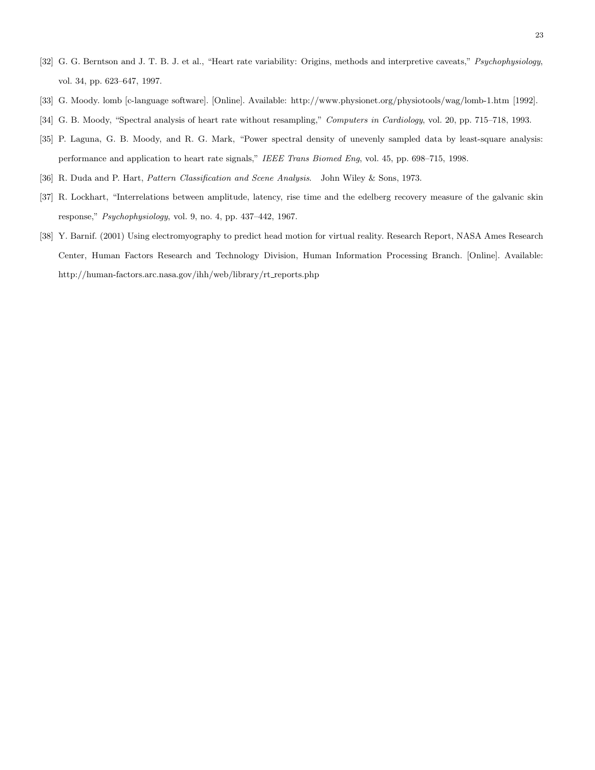- [32] G. G. Berntson and J. T. B. J. et al., "Heart rate variability: Origins, methods and interpretive caveats," Psychophysiology, vol. 34, pp. 623–647, 1997.
- [33] G. Moody. lomb [c-language software]. [Online]. Available: http://www.physionet.org/physiotools/wag/lomb-1.htm [1992].
- [34] G. B. Moody, "Spectral analysis of heart rate without resampling," Computers in Cardiology, vol. 20, pp. 715–718, 1993.
- [35] P. Laguna, G. B. Moody, and R. G. Mark, "Power spectral density of unevenly sampled data by least-square analysis: performance and application to heart rate signals," IEEE Trans Biomed Eng, vol. 45, pp. 698–715, 1998.
- [36] R. Duda and P. Hart, *Pattern Classification and Scene Analysis.* John Wiley & Sons, 1973.
- [37] R. Lockhart, "Interrelations between amplitude, latency, rise time and the edelberg recovery measure of the galvanic skin response," Psychophysiology, vol. 9, no. 4, pp. 437–442, 1967.
- [38] Y. Barnif. (2001) Using electromyography to predict head motion for virtual reality. Research Report, NASA Ames Research Center, Human Factors Research and Technology Division, Human Information Processing Branch. [Online]. Available: http://human-factors.arc.nasa.gov/ihh/web/library/rt\_reports.php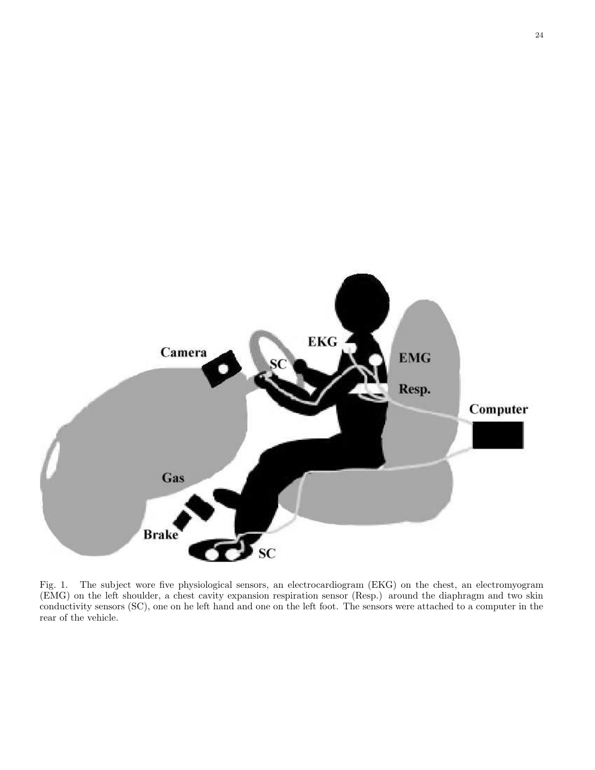

Fig. 1. The subject wore five physiological sensors, an electrocardiogram (EKG) on the chest, an electromyogram (EMG) on the left shoulder, a chest cavity expansion respiration sensor (Resp.) around the diaphragm and two skin conductivity sensors (SC), one on he left hand and one on the left foot. The sensors were attached to a computer in the rear of the vehicle.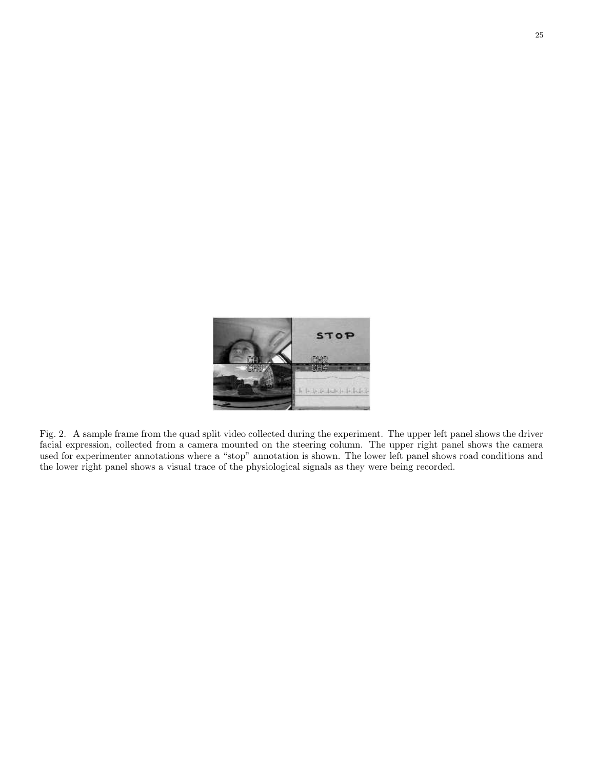

Fig. 2. A sample frame from the quad split video collected during the experiment. The upper left panel shows the driver facial expression, collected from a camera mounted on the steering column. The upper right panel shows the camera used for experimenter annotations where a "stop" annotation is shown. The lower left panel shows road conditions and the lower right panel shows a visual trace of the physiological signals as they were being recorded.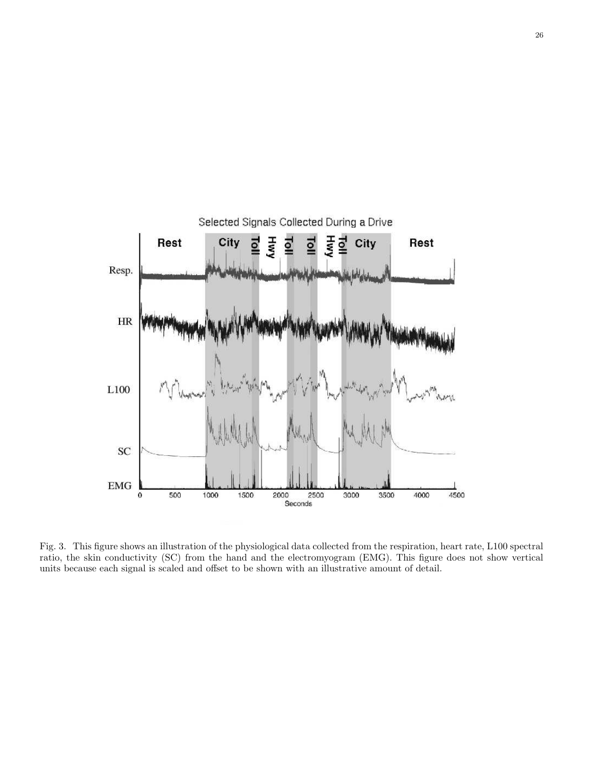

Fig. 3. This figure shows an illustration of the physiological data collected from the respiration, heart rate, L100 spectral ratio, the skin conductivity (SC) from the hand and the electromyogram (EMG). This figure does not show vertical units because each signal is scaled and offset to be shown with an illustrative amount of detail.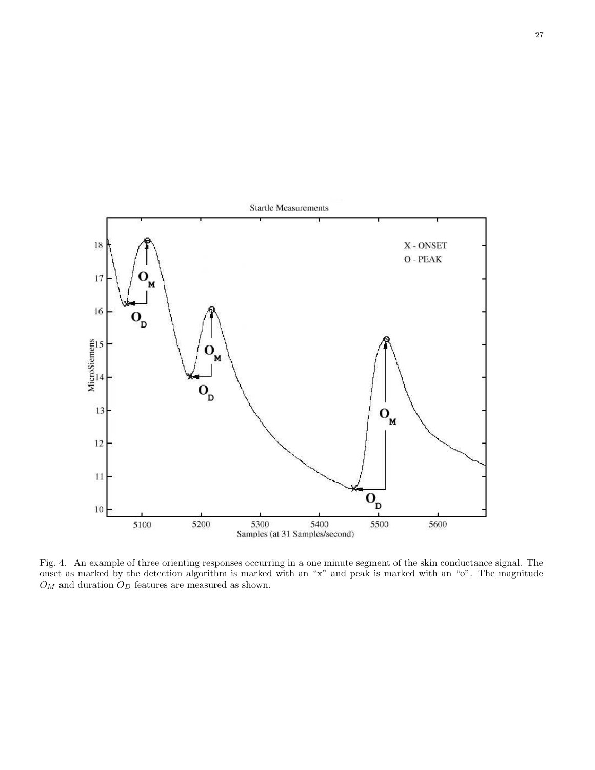

Fig. 4. An example of three orienting responses occurring in a one minute segment of the skin conductance signal. The onset as marked by the detection algorithm is marked with an "x" and peak is marked with an "o". The magnitude  $O_M$  and duration  $O_D$  features are measured as shown.